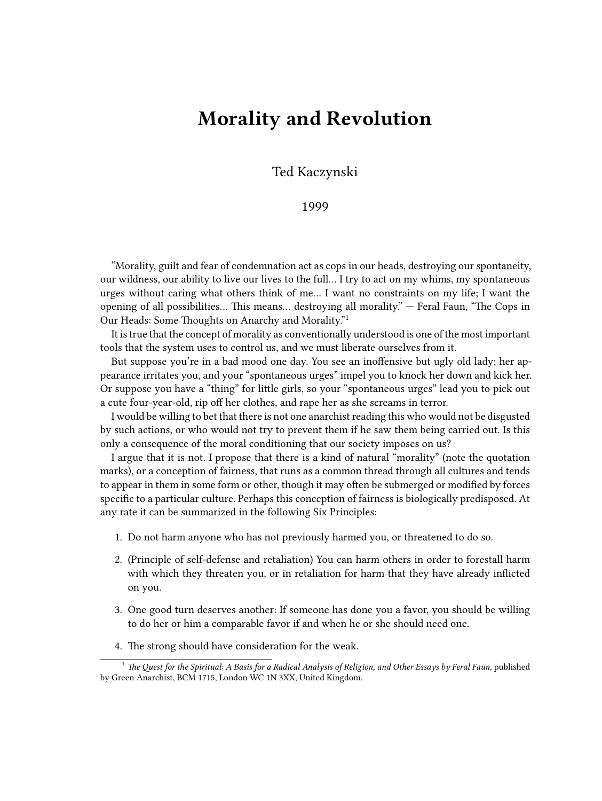## **Morality and Revolution**

Ted Kaczynski

1999

"Morality, guilt and fear of condemnation act as cops in our heads, destroying our spontaneity, our wildness, our ability to live our lives to the full… I try to act on my whims, my spontaneous urges without caring what others think of me… I want no constraints on my life; I want the opening of all possibilities… This means… destroying all morality." — Feral Faun, "The Cops in Our Heads: Some Thoughts on Anarchy and Morality."<sup>1</sup>

It is true that the concept of morality as conventionally understood is one of the most important tools that the system uses to control us, and we must liberate ourselves from it.

But suppose you're in a bad mood one day. You see an inoffensive but ugly old lady; her appearance irritates you, and your "spontaneous urges" impel you to knock her down and kick her. Or suppose you have a "thing" for little girls, so your "spontaneous urges" lead you to pick out a cute four-year-old, rip off her clothes, and rape her as she screams in terror.

I would be willing to bet that there is not one anarchist reading this who would not be disgusted by such actions, or who would not try to prevent them if he saw them being carried out. Is this only a consequence of the moral conditioning that our society imposes on us?

I argue that it is not. I propose that there is a kind of natural "morality" (note the quotation marks), or a conception of fairness, that runs as a common thread through all cultures and tends to appear in them in some form or other, though it may often be submerged or modified by forces specific to a particular culture. Perhaps this conception of fairness is biologically predisposed. At any rate it can be summarized in the following Six Principles:

- 1. Do not harm anyone who has not previously harmed you, or threatened to do so.
- 2. (Principle of self-defense and retaliation) You can harm others in order to forestall harm with which they threaten you, or in retaliation for harm that they have already inflicted on you.
- 3. One good turn deserves another: If someone has done you a favor, you should be willing to do her or him a comparable favor if and when he or she should need one.
- 4. The strong should have consideration for the weak.

<sup>1</sup> *The Quest for the Spiritual: A Basis for a Radical Analysis of Religion, and Other Essays by Feral Faun*, published by Green Anarchist, BCM 1715, London WC 1N 3XX, United Kingdom.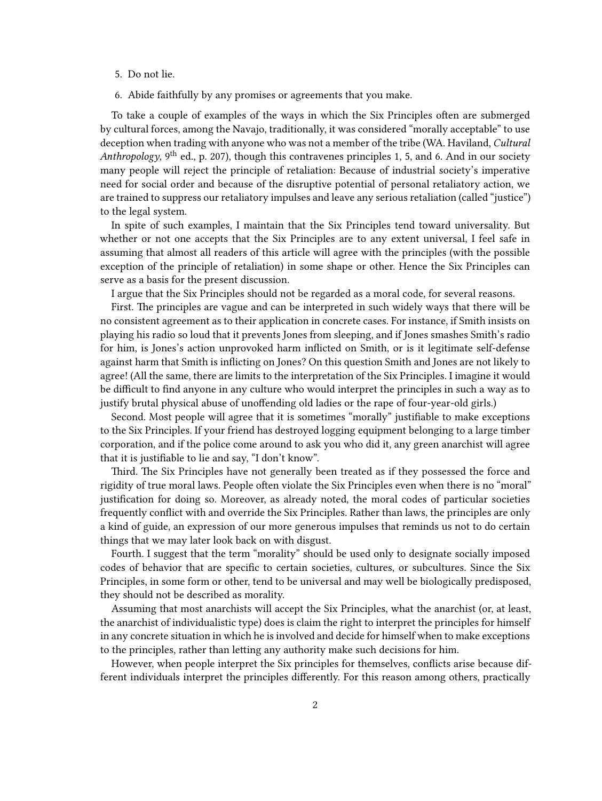## 5. Do not lie.

6. Abide faithfully by any promises or agreements that you make.

To take a couple of examples of the ways in which the Six Principles often are submerged by cultural forces, among the Navajo, traditionally, it was considered "morally acceptable" to use deception when trading with anyone who was not a member of the tribe (WA. Haviland, *Cultural Anthropology*, 9<sup>th</sup> ed., p. 207), though this contravenes principles 1, 5, and 6. And in our society many people will reject the principle of retaliation: Because of industrial society's imperative need for social order and because of the disruptive potential of personal retaliatory action, we are trained to suppress our retaliatory impulses and leave any serious retaliation (called "justice") to the legal system.

In spite of such examples, I maintain that the Six Principles tend toward universality. But whether or not one accepts that the Six Principles are to any extent universal, I feel safe in assuming that almost all readers of this article will agree with the principles (with the possible exception of the principle of retaliation) in some shape or other. Hence the Six Principles can serve as a basis for the present discussion.

I argue that the Six Principles should not be regarded as a moral code, for several reasons.

First. The principles are vague and can be interpreted in such widely ways that there will be no consistent agreement as to their application in concrete cases. For instance, if Smith insists on playing his radio so loud that it prevents Jones from sleeping, and if Jones smashes Smith's radio for him, is Jones's action unprovoked harm inflicted on Smith, or is it legitimate self-defense against harm that Smith is inflicting on Jones? On this question Smith and Jones are not likely to agree! (All the same, there are limits to the interpretation of the Six Principles. I imagine it would be difficult to find anyone in any culture who would interpret the principles in such a way as to justify brutal physical abuse of unoffending old ladies or the rape of four-year-old girls.)

Second. Most people will agree that it is sometimes "morally" justifiable to make exceptions to the Six Principles. If your friend has destroyed logging equipment belonging to a large timber corporation, and if the police come around to ask you who did it, any green anarchist will agree that it is justifiable to lie and say, "I don't know".

Third. The Six Principles have not generally been treated as if they possessed the force and rigidity of true moral laws. People often violate the Six Principles even when there is no "moral" justification for doing so. Moreover, as already noted, the moral codes of particular societies frequently conflict with and override the Six Principles. Rather than laws, the principles are only a kind of guide, an expression of our more generous impulses that reminds us not to do certain things that we may later look back on with disgust.

Fourth. I suggest that the term "morality" should be used only to designate socially imposed codes of behavior that are specific to certain societies, cultures, or subcultures. Since the Six Principles, in some form or other, tend to be universal and may well be biologically predisposed, they should not be described as morality.

Assuming that most anarchists will accept the Six Principles, what the anarchist (or, at least, the anarchist of individualistic type) does is claim the right to interpret the principles for himself in any concrete situation in which he is involved and decide for himself when to make exceptions to the principles, rather than letting any authority make such decisions for him.

However, when people interpret the Six principles for themselves, conflicts arise because different individuals interpret the principles differently. For this reason among others, practically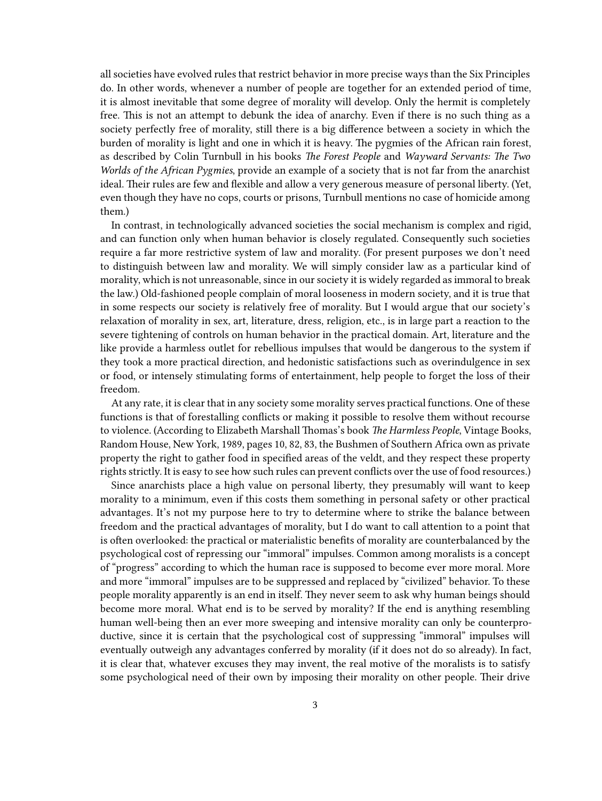all societies have evolved rules that restrict behavior in more precise ways than the Six Principles do. In other words, whenever a number of people are together for an extended period of time, it is almost inevitable that some degree of morality will develop. Only the hermit is completely free. This is not an attempt to debunk the idea of anarchy. Even if there is no such thing as a society perfectly free of morality, still there is a big difference between a society in which the burden of morality is light and one in which it is heavy. The pygmies of the African rain forest, as described by Colin Turnbull in his books *The Forest People* and *Wayward Servants: The Two Worlds of the African Pygmies*, provide an example of a society that is not far from the anarchist ideal. Their rules are few and flexible and allow a very generous measure of personal liberty. (Yet, even though they have no cops, courts or prisons, Turnbull mentions no case of homicide among them.)

In contrast, in technologically advanced societies the social mechanism is complex and rigid, and can function only when human behavior is closely regulated. Consequently such societies require a far more restrictive system of law and morality. (For present purposes we don't need to distinguish between law and morality. We will simply consider law as a particular kind of morality, which is not unreasonable, since in our society it is widely regarded as immoral to break the law.) Old-fashioned people complain of moral looseness in modern society, and it is true that in some respects our society is relatively free of morality. But I would argue that our society's relaxation of morality in sex, art, literature, dress, religion, etc., is in large part a reaction to the severe tightening of controls on human behavior in the practical domain. Art, literature and the like provide a harmless outlet for rebellious impulses that would be dangerous to the system if they took a more practical direction, and hedonistic satisfactions such as overindulgence in sex or food, or intensely stimulating forms of entertainment, help people to forget the loss of their freedom.

At any rate, it is clear that in any society some morality serves practical functions. One of these functions is that of forestalling conflicts or making it possible to resolve them without recourse to violence. (According to Elizabeth Marshall Thomas's book *The Harmless People*, Vintage Books, Random House, New York, 1989, pages 10, 82, 83, the Bushmen of Southern Africa own as private property the right to gather food in specified areas of the veldt, and they respect these property rights strictly. It is easy to see how such rules can prevent conflicts over the use of food resources.)

Since anarchists place a high value on personal liberty, they presumably will want to keep morality to a minimum, even if this costs them something in personal safety or other practical advantages. It's not my purpose here to try to determine where to strike the balance between freedom and the practical advantages of morality, but I do want to call attention to a point that is often overlooked: the practical or materialistic benefits of morality are counterbalanced by the psychological cost of repressing our "immoral" impulses. Common among moralists is a concept of "progress" according to which the human race is supposed to become ever more moral. More and more "immoral" impulses are to be suppressed and replaced by "civilized" behavior. To these people morality apparently is an end in itself. They never seem to ask why human beings should become more moral. What end is to be served by morality? If the end is anything resembling human well-being then an ever more sweeping and intensive morality can only be counterproductive, since it is certain that the psychological cost of suppressing "immoral" impulses will eventually outweigh any advantages conferred by morality (if it does not do so already). In fact, it is clear that, whatever excuses they may invent, the real motive of the moralists is to satisfy some psychological need of their own by imposing their morality on other people. Their drive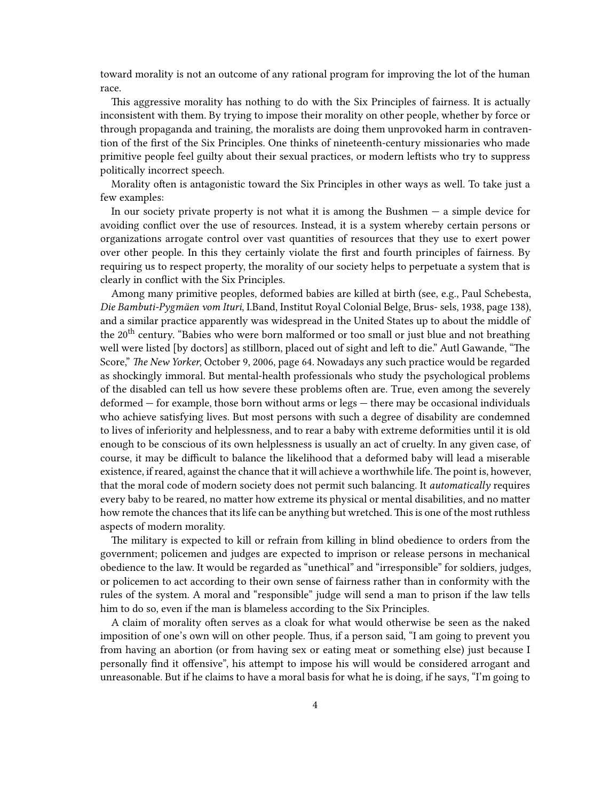toward morality is not an outcome of any rational program for improving the lot of the human race.

This aggressive morality has nothing to do with the Six Principles of fairness. It is actually inconsistent with them. By trying to impose their morality on other people, whether by force or through propaganda and training, the moralists are doing them unprovoked harm in contravention of the first of the Six Principles. One thinks of nineteenth-century missionaries who made primitive people feel guilty about their sexual practices, or modern leftists who try to suppress politically incorrect speech.

Morality often is antagonistic toward the Six Principles in other ways as well. To take just a few examples:

In our society private property is not what it is among the Bushmen  $-$  a simple device for avoiding conflict over the use of resources. Instead, it is a system whereby certain persons or organizations arrogate control over vast quantities of resources that they use to exert power over other people. In this they certainly violate the first and fourth principles of fairness. By requiring us to respect property, the morality of our society helps to perpetuate a system that is clearly in conflict with the Six Principles.

Among many primitive peoples, deformed babies are killed at birth (see, e.g., Paul Schebesta, *Die Bambuti-Pygmäen vom Ituri*, I.Band, Institut Royal Colonial Belge, Brus- sels, 1938, page 138), and a similar practice apparently was widespread in the United States up to about the middle of the 20<sup>th</sup> century. "Babies who were born malformed or too small or just blue and not breathing well were listed [by doctors] as stillborn, placed out of sight and left to die." Autl Gawande, "The Score," *The New Yorker*, October 9, 2006, page 64. Nowadays any such practice would be regarded as shockingly immoral. But mental-health professionals who study the psychological problems of the disabled can tell us how severe these problems often are. True, even among the severely deformed — for example, those born without arms or legs — there may be occasional individuals who achieve satisfying lives. But most persons with such a degree of disability are condemned to lives of inferiority and helplessness, and to rear a baby with extreme deformities until it is old enough to be conscious of its own helplessness is usually an act of cruelty. In any given case, of course, it may be difficult to balance the likelihood that a deformed baby will lead a miserable existence, if reared, against the chance that it will achieve a worthwhile life. The point is, however, that the moral code of modern society does not permit such balancing. It *automatically* requires every baby to be reared, no matter how extreme its physical or mental disabilities, and no matter how remote the chances that its life can be anything but wretched. This is one of the most ruthless aspects of modern morality.

The military is expected to kill or refrain from killing in blind obedience to orders from the government; policemen and judges are expected to imprison or release persons in mechanical obedience to the law. It would be regarded as "unethical" and "irresponsible" for soldiers, judges, or policemen to act according to their own sense of fairness rather than in conformity with the rules of the system. A moral and "responsible" judge will send a man to prison if the law tells him to do so, even if the man is blameless according to the Six Principles.

A claim of morality often serves as a cloak for what would otherwise be seen as the naked imposition of one's own will on other people. Thus, if a person said, "I am going to prevent you from having an abortion (or from having sex or eating meat or something else) just because I personally find it offensive", his attempt to impose his will would be considered arrogant and unreasonable. But if he claims to have a moral basis for what he is doing, if he says, "I'm going to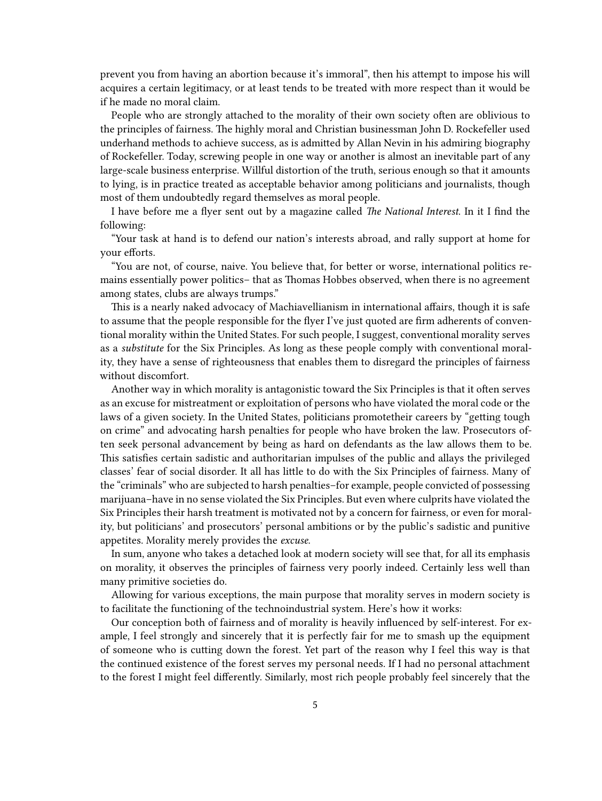prevent you from having an abortion because it's immoral", then his attempt to impose his will acquires a certain legitimacy, or at least tends to be treated with more respect than it would be if he made no moral claim.

People who are strongly attached to the morality of their own society often are oblivious to the principles of fairness. The highly moral and Christian businessman John D. Rockefeller used underhand methods to achieve success, as is admitted by Allan Nevin in his admiring biography of Rockefeller. Today, screwing people in one way or another is almost an inevitable part of any large-scale business enterprise. Willful distortion of the truth, serious enough so that it amounts to lying, is in practice treated as acceptable behavior among politicians and journalists, though most of them undoubtedly regard themselves as moral people.

I have before me a flyer sent out by a magazine called *The National Interest*. In it I find the following:

"Your task at hand is to defend our nation's interests abroad, and rally support at home for your efforts.

"You are not, of course, naive. You believe that, for better or worse, international politics remains essentially power politics– that as Thomas Hobbes observed, when there is no agreement among states, clubs are always trumps."

This is a nearly naked advocacy of Machiavellianism in international affairs, though it is safe to assume that the people responsible for the flyer I've just quoted are firm adherents of conventional morality within the United States. For such people, I suggest, conventional morality serves as a *substitute* for the Six Principles. As long as these people comply with conventional morality, they have a sense of righteousness that enables them to disregard the principles of fairness without discomfort.

Another way in which morality is antagonistic toward the Six Principles is that it often serves as an excuse for mistreatment or exploitation of persons who have violated the moral code or the laws of a given society. In the United States, politicians promotetheir careers by "getting tough on crime" and advocating harsh penalties for people who have broken the law. Prosecutors often seek personal advancement by being as hard on defendants as the law allows them to be. This satisfies certain sadistic and authoritarian impulses of the public and allays the privileged classes' fear of social disorder. It all has little to do with the Six Principles of fairness. Many of the "criminals" who are subjected to harsh penalties–for example, people convicted of possessing marijuana–have in no sense violated the Six Principles. But even where culprits have violated the Six Principles their harsh treatment is motivated not by a concern for fairness, or even for morality, but politicians' and prosecutors' personal ambitions or by the public's sadistic and punitive appetites. Morality merely provides the *excuse*.

In sum, anyone who takes a detached look at modern society will see that, for all its emphasis on morality, it observes the principles of fairness very poorly indeed. Certainly less well than many primitive societies do.

Allowing for various exceptions, the main purpose that morality serves in modern society is to facilitate the functioning of the technoindustrial system. Here's how it works:

Our conception both of fairness and of morality is heavily influenced by self-interest. For example, I feel strongly and sincerely that it is perfectly fair for me to smash up the equipment of someone who is cutting down the forest. Yet part of the reason why I feel this way is that the continued existence of the forest serves my personal needs. If I had no personal attachment to the forest I might feel differently. Similarly, most rich people probably feel sincerely that the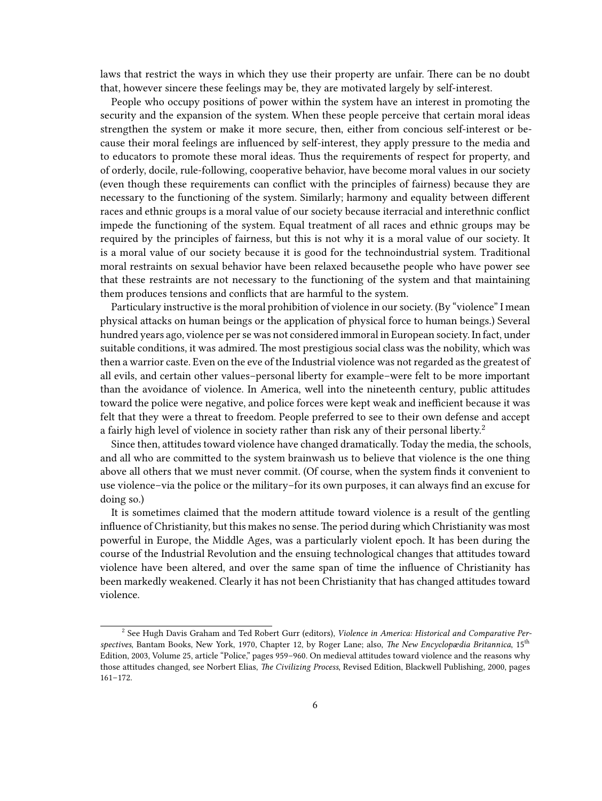laws that restrict the ways in which they use their property are unfair. There can be no doubt that, however sincere these feelings may be, they are motivated largely by self-interest.

People who occupy positions of power within the system have an interest in promoting the security and the expansion of the system. When these people perceive that certain moral ideas strengthen the system or make it more secure, then, either from concious self-interest or because their moral feelings are influenced by self-interest, they apply pressure to the media and to educators to promote these moral ideas. Thus the requirements of respect for property, and of orderly, docile, rule-following, cooperative behavior, have become moral values in our society (even though these requirements can conflict with the principles of fairness) because they are necessary to the functioning of the system. Similarly; harmony and equality between different races and ethnic groups is a moral value of our society because iterracial and interethnic conflict impede the functioning of the system. Equal treatment of all races and ethnic groups may be required by the principles of fairness, but this is not why it is a moral value of our society. It is a moral value of our society because it is good for the technoindustrial system. Traditional moral restraints on sexual behavior have been relaxed becausethe people who have power see that these restraints are not necessary to the functioning of the system and that maintaining them produces tensions and conflicts that are harmful to the system.

Particulary instructive is the moral prohibition of violence in our society. (By "violence" I mean physical attacks on human beings or the application of physical force to human beings.) Several hundred years ago, violence per se was not considered immoral in European society. In fact, under suitable conditions, it was admired. The most prestigious social class was the nobility, which was then a warrior caste. Even on the eve of the Industrial violence was not regarded as the greatest of all evils, and certain other values–personal liberty for example–were felt to be more important than the avoidance of violence. In America, well into the nineteenth century, public attitudes toward the police were negative, and police forces were kept weak and inefficient because it was felt that they were a threat to freedom. People preferred to see to their own defense and accept a fairly high level of violence in society rather than risk any of their personal liberty.<sup>2</sup>

Since then, attitudes toward violence have changed dramatically. Today the media, the schools, and all who are committed to the system brainwash us to believe that violence is the one thing above all others that we must never commit. (Of course, when the system finds it convenient to use violence–via the police or the military–for its own purposes, it can always find an excuse for doing so.)

It is sometimes claimed that the modern attitude toward violence is a result of the gentling influence of Christianity, but this makes no sense. The period during which Christianity was most powerful in Europe, the Middle Ages, was a particularly violent epoch. It has been during the course of the Industrial Revolution and the ensuing technological changes that attitudes toward violence have been altered, and over the same span of time the influence of Christianity has been markedly weakened. Clearly it has not been Christianity that has changed attitudes toward violence.

<sup>2</sup> See Hugh Davis Graham and Ted Robert Gurr (editors), *Violence in America: Historical and Comparative Perspectives*, Bantam Books, New York, 1970, Chapter 12, by Roger Lane; also, *The New Encyclopædia Britannica*, 15th Edition, 2003, Volume 25, article "Police," pages 959–960. On medieval attitudes toward violence and the reasons why those attitudes changed, see Norbert Elias, *The Civilizing Process*, Revised Edition, Blackwell Publishing, 2000, pages 161–172.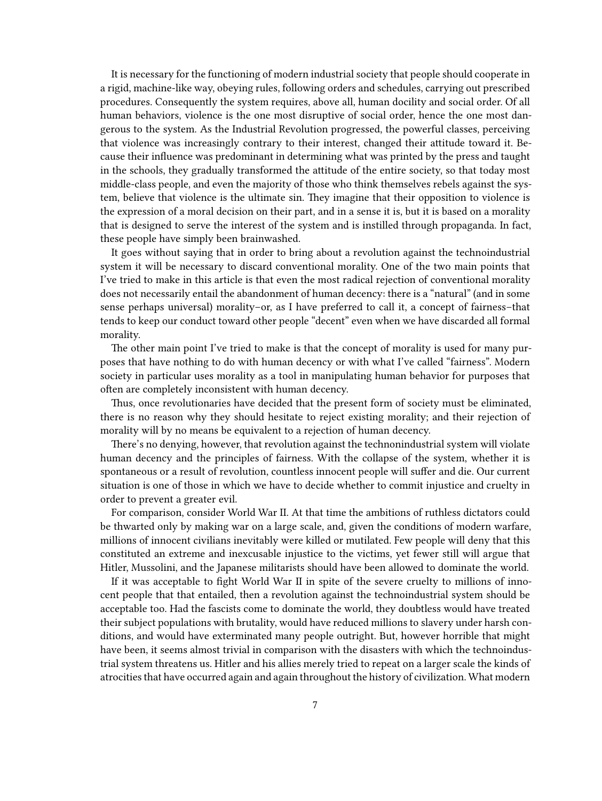It is necessary for the functioning of modern industrial society that people should cooperate in a rigid, machine-like way, obeying rules, following orders and schedules, carrying out prescribed procedures. Consequently the system requires, above all, human docility and social order. Of all human behaviors, violence is the one most disruptive of social order, hence the one most dangerous to the system. As the Industrial Revolution progressed, the powerful classes, perceiving that violence was increasingly contrary to their interest, changed their attitude toward it. Because their influence was predominant in determining what was printed by the press and taught in the schools, they gradually transformed the attitude of the entire society, so that today most middle-class people, and even the majority of those who think themselves rebels against the system, believe that violence is the ultimate sin. They imagine that their opposition to violence is the expression of a moral decision on their part, and in a sense it is, but it is based on a morality that is designed to serve the interest of the system and is instilled through propaganda. In fact, these people have simply been brainwashed.

It goes without saying that in order to bring about a revolution against the technoindustrial system it will be necessary to discard conventional morality. One of the two main points that I've tried to make in this article is that even the most radical rejection of conventional morality does not necessarily entail the abandonment of human decency: there is a "natural" (and in some sense perhaps universal) morality–or, as I have preferred to call it, a concept of fairness–that tends to keep our conduct toward other people "decent" even when we have discarded all formal morality.

The other main point I've tried to make is that the concept of morality is used for many purposes that have nothing to do with human decency or with what I've called "fairness". Modern society in particular uses morality as a tool in manipulating human behavior for purposes that often are completely inconsistent with human decency.

Thus, once revolutionaries have decided that the present form of society must be eliminated, there is no reason why they should hesitate to reject existing morality; and their rejection of morality will by no means be equivalent to a rejection of human decency.

There's no denying, however, that revolution against the technonindustrial system will violate human decency and the principles of fairness. With the collapse of the system, whether it is spontaneous or a result of revolution, countless innocent people will suffer and die. Our current situation is one of those in which we have to decide whether to commit injustice and cruelty in order to prevent a greater evil.

For comparison, consider World War II. At that time the ambitions of ruthless dictators could be thwarted only by making war on a large scale, and, given the conditions of modern warfare, millions of innocent civilians inevitably were killed or mutilated. Few people will deny that this constituted an extreme and inexcusable injustice to the victims, yet fewer still will argue that Hitler, Mussolini, and the Japanese militarists should have been allowed to dominate the world.

If it was acceptable to fight World War II in spite of the severe cruelty to millions of innocent people that that entailed, then a revolution against the technoindustrial system should be acceptable too. Had the fascists come to dominate the world, they doubtless would have treated their subject populations with brutality, would have reduced millions to slavery under harsh conditions, and would have exterminated many people outright. But, however horrible that might have been, it seems almost trivial in comparison with the disasters with which the technoindustrial system threatens us. Hitler and his allies merely tried to repeat on a larger scale the kinds of atrocities that have occurred again and again throughout the history of civilization. What modern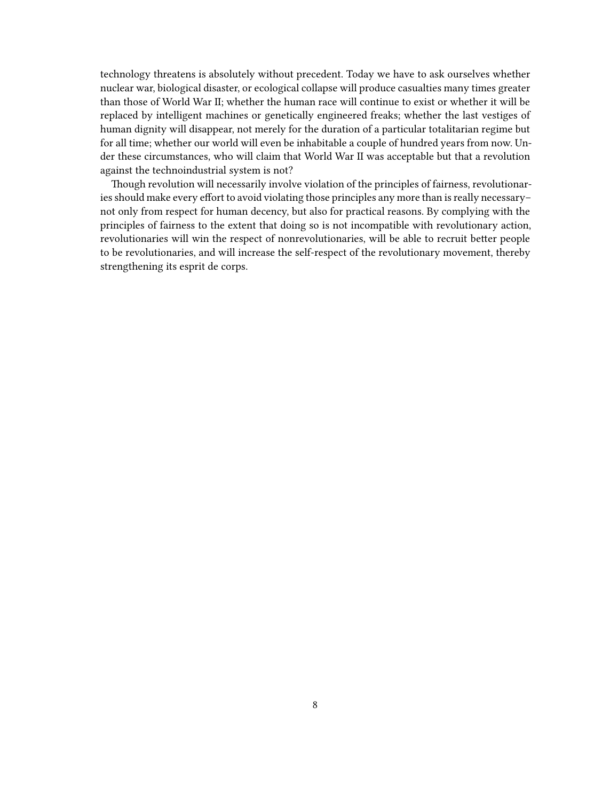technology threatens is absolutely without precedent. Today we have to ask ourselves whether nuclear war, biological disaster, or ecological collapse will produce casualties many times greater than those of World War II; whether the human race will continue to exist or whether it will be replaced by intelligent machines or genetically engineered freaks; whether the last vestiges of human dignity will disappear, not merely for the duration of a particular totalitarian regime but for all time; whether our world will even be inhabitable a couple of hundred years from now. Under these circumstances, who will claim that World War II was acceptable but that a revolution against the technoindustrial system is not?

Though revolution will necessarily involve violation of the principles of fairness, revolutionaries should make every effort to avoid violating those principles any more than is really necessary– not only from respect for human decency, but also for practical reasons. By complying with the principles of fairness to the extent that doing so is not incompatible with revolutionary action, revolutionaries will win the respect of nonrevolutionaries, will be able to recruit better people to be revolutionaries, and will increase the self-respect of the revolutionary movement, thereby strengthening its esprit de corps.